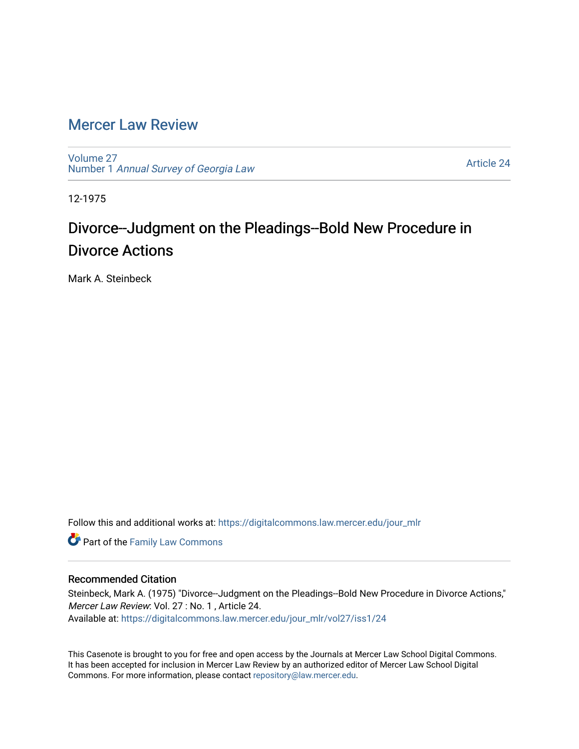## [Mercer Law Review](https://digitalcommons.law.mercer.edu/jour_mlr)

[Volume 27](https://digitalcommons.law.mercer.edu/jour_mlr/vol27) Number 1 [Annual Survey of Georgia Law](https://digitalcommons.law.mercer.edu/jour_mlr/vol27/iss1) 

[Article 24](https://digitalcommons.law.mercer.edu/jour_mlr/vol27/iss1/24) 

12-1975

## Divorce--Judgment on the Pleadings--Bold New Procedure in Divorce Actions

Mark A. Steinbeck

Follow this and additional works at: [https://digitalcommons.law.mercer.edu/jour\\_mlr](https://digitalcommons.law.mercer.edu/jour_mlr?utm_source=digitalcommons.law.mercer.edu%2Fjour_mlr%2Fvol27%2Fiss1%2F24&utm_medium=PDF&utm_campaign=PDFCoverPages)

**Part of the Family Law Commons** 

## Recommended Citation

Steinbeck, Mark A. (1975) "Divorce--Judgment on the Pleadings--Bold New Procedure in Divorce Actions," Mercer Law Review: Vol. 27 : No. 1 , Article 24. Available at: [https://digitalcommons.law.mercer.edu/jour\\_mlr/vol27/iss1/24](https://digitalcommons.law.mercer.edu/jour_mlr/vol27/iss1/24?utm_source=digitalcommons.law.mercer.edu%2Fjour_mlr%2Fvol27%2Fiss1%2F24&utm_medium=PDF&utm_campaign=PDFCoverPages) 

This Casenote is brought to you for free and open access by the Journals at Mercer Law School Digital Commons. It has been accepted for inclusion in Mercer Law Review by an authorized editor of Mercer Law School Digital Commons. For more information, please contact [repository@law.mercer.edu.](mailto:repository@law.mercer.edu)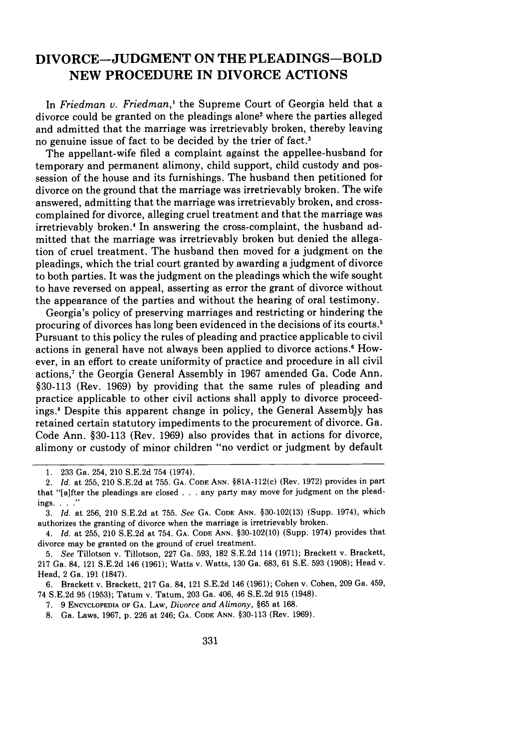## **DIVORCE-JUDGMENT ON THE PLEADINGS-BOLD NEW PROCEDURE IN DIVORCE ACTIONS**

In *Friedman v. Friedman,'* the Supreme Court of Georgia held that a divorce could be granted on the pleadings alone2 where the parties alleged and admitted that the marriage was irretrievably broken, thereby leaving no genuine issue of fact to be decided **by** the trier of fact.'

The appellant-wife filed a complaint against the appellee-husband for temporary and permanent alimony, child support, child custody and possession of the house and its furnishings. The husband then petitioned **for** divorce on the ground that the marriage was irretrievably broken. The wife answered, admitting that the marriage was irretrievably broken, and crosscomplained for divorce, alleging cruel treatment and that the marriage was irretrievably broken.' In answering the cross-complaint, the husband admitted that the marriage was irretrievably broken but denied the allegation of cruel treatment. The husband then moved for a judgment on the pleadings, which the trial court granted **by** awarding a judgment of divorce to both parties. It was the judgment on the pleadings which the wife sought to have reversed on appeal, asserting as error the grant of divorce without the appearance of the parties and without the hearing of oral testimony.

Georgia's policy of preserving marriages and restricting or hindering the procuring of divorces has long been evidenced in the decisions of its courts.' Pursuant to this policy the rules of pleading and practice applicable to civil actions in general have not always been applied to divorce actions.<sup>6</sup> However, in an effort to create uniformity of practice and procedure in all civil actions,7 the Georgia General Assembly in **1967** amended Ga. Code Ann. **§30-113** (Rev. **1969) by** providing that the same rules of pleading and practice applicable to other civil actions shall apply to divorce proceedings. 8 Despite this apparent change in policy, the General Assembly has retained certain statutory impediments to the procurement of divorce. Ga. Code Ann. **§30-113** (Rev. **1969)** also provides that in actions for divorce, alimony or custody of minor children "no verdict or judgment **by** default

**<sup>1. 233</sup>** Ga. 254, 210 **S.E.2d** 754 (1974).

<sup>2.</sup> *Id.* at **255,** 210 **S.E.2d** at **755. GA. CODE ANN.** §81A-112(c) (Rev. **1972)** provides in part that "[a]fter the pleadings are closed **...** any party may move for judgment on the pleadings **. .. ...**

**<sup>3.</sup>** *Id.* at **256,** 210 **S.E.2d** at **755.** See **GA. CODE ANN. §30-102(13)** (Supp. 1974), which authorizes the granting of divorce when the marriage is irretrievably broken.

<sup>4.</sup> *Id.* at **255,** 210 **S.E.2d** at 754. **GA. CODE ANN. §30-102(10)** (Supp. 1974) provides that divorce may be granted on the ground of cruel treatment.

**<sup>5.</sup>** See Tillotson v. Tillotson, **227** Ga. **593, 182 S.E.2d** 114 **(1971);** Brackett v. Brackett, **217** Ga. 84, 121 **S.E.2d** 146 **(1961);** Watts v. Watts, **130** Ga. **683, 61 S.E. 593 (1908);** Head v. Head, 2 Ga. **191** (1847).

**<sup>6.</sup>** Brackett v. Brackett, **217** Ga. 84, 121 **S.E.2d** 146 **(1961);** Cohen v. Cohen, **209** Ga. 459, 74 **S.E.2d 95 (1953);** Tatum v. Tatum, **203** Ga. 406, 46 **S.E.2d 915** (1948).

**<sup>7.</sup>** 9 **ENCYCLOPEDIA OF GA.** LAW, *Divorce and Alimony,* §65 at **168.**

**<sup>8.</sup>** Ga. Laws, **1967, p. 226** at 246; **GA. CODE ANN. §30-113** (Rev. **1969).**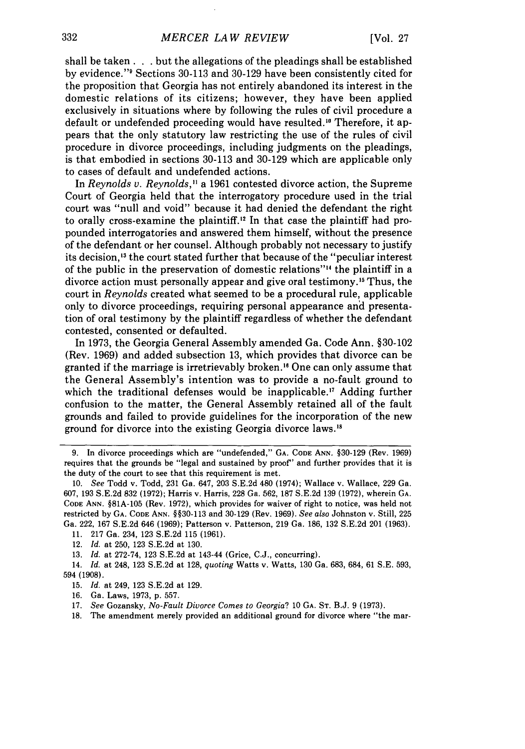shall be taken. **. .** but the allegations of the pleadings shall be established by evidence."<sup>9</sup> Sections 30-113 and 30-129 have been consistently cited for the proposition that Georgia has not entirely abandoned its interest in the domestic relations of its citizens; however, they have been applied exclusively in situations where by following the rules of civil procedure a default or undefended proceeding would have resulted.<sup>10</sup> Therefore, it appears that the only statutory law restricting the use of the rules of civil procedure in divorce proceedings, including judgments on the pleadings, is that embodied in sections 30-113 and 30-129 which are applicable only to cases of default and undefended actions.

In *Reynolds v. Reynolds,"* a 1961 contested divorce action, the Supreme Court of Georgia held that the interrogatory procedure used in the trial court was "null and void" because it had denied the defendant the right to orally cross-examine the plaintiff.<sup>12</sup> In that case the plaintiff had propounded interrogatories and answered them himself, without the presence of the defendant or her counsel. Although probably not necessary to justify its decision,<sup>13</sup> the court stated further that because of the "peculiar interest of the public in the preservation of domestic relations"<sup>14</sup> the plaintiff in a divorce action must personally appear and give oral testimony. 15 Thus, the court in *Reynolds* created what seemed to be a procedural rule, applicable only to divorce proceedings, requiring personal appearance and presentation of oral testimony by the plaintiff regardless of whether the defendant contested, consented or defaulted.

In 1973, the Georgia General Assembly amended Ga. Code Ann. §30-102 (Rev. 1969) and added subsection 13, which provides that divorce can be granted if the marriage is irretrievably broken.<sup>16</sup> One can only assume that the General Assembly's intention was to provide a no-fault ground to which the traditional defenses would be inapplicable.<sup>17</sup> Adding further confusion to the matter, the General Assembly retained all of the fault grounds and failed to provide guidelines for the incorporation of the new ground for divorce into the existing Georgia divorce laws."

11. 217 Ga. 234, 123 S.E.2d 115 (1961).

14. *Id.* at 248, 123 S.E.2d at 128, *quoting* Watts v. Watts, 130 Ga. 683, 684, 61 S.E. 593, 594 (1908).

<sup>9.</sup> In divorce proceedings which are "undefended," **GA. CODE ANN. §30-129** (Rev. 1969) requires that the grounds be "legal and sustained **by** proof"' and further provides that it is the duty of the court to see that this requirement is met.

**<sup>10.</sup>** *See* Todd v. Todd, **231** Ga. 647, **203 S.E.2d** 480 (1974); Wallace v. Wallace, **229** Ga. **607, 193 S.E.2d 832 (1972);** Harris v. Harris, **228** Ga. **562, 187 S.E.2d 139 (1972),** wherein **GA. CODE ANN. §81A-105** (Rev. **1972),** which provides for waiver of right to notice, was held not restricted by **GA. CODE ANN.** §§30-113 and 30-129 (Rev. 1969). *See also* Johnston v. Still, 225 Ga. 222, 167 S.E.2d 646 (1969); Patterson v. Patterson, 219 Ga. 186, 132 S.E.2d 201 (1963).

<sup>12.</sup> *Id.* at 250, 123 S.E.2d at 130.

<sup>13.</sup> *Id.* at 272-74, 123 S.E.2d at 143-44 (Grice, C.J., concurring).

<sup>15.</sup> *Id.* at 249, 123 S.E.2d at 129.

<sup>16.</sup> Ga. Laws, 1973, p. 557.

<sup>17.</sup> *See* Gozansky, *No-Fault Divorce Comes to Georgia?* 10 **GA. ST.** B.J. 9 (1973).

<sup>18.</sup> The amendment merely provided an additional ground for divorce where "the mar-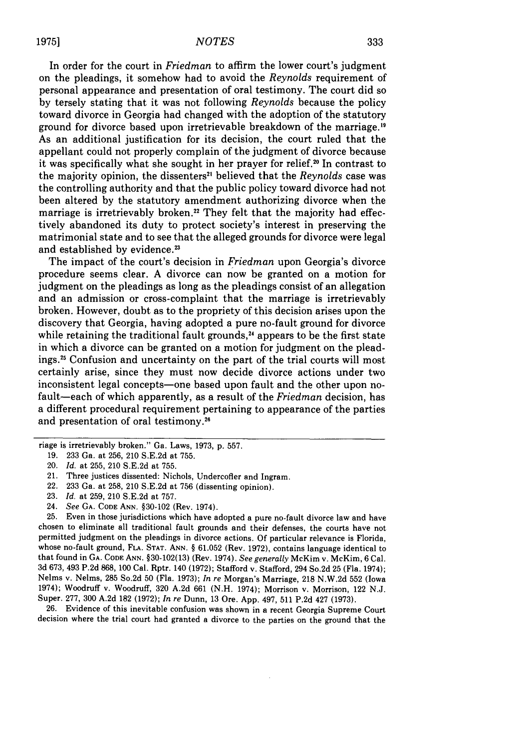In order for the court in *Friedman* to affirm the lower court's judgment on the pleadings, it somehow had to avoid the *Reynolds* requirement of personal appearance and presentation of oral testimony. The court did so by tersely stating that it was not following *Reynolds* because the policy toward divorce in Georgia had changed with the adoption of the statutory ground for divorce based upon irretrievable breakdown of the marriage.<sup>19</sup> As an additional justification for its decision, the court ruled that the appellant could not properly complain of the judgment of divorce because it was specifically what she sought in her prayer for relief.<sup>20</sup> In contrast to the majority opinion, the dissenters" believed that the *Reynolds* case was the controlling authority and that the public policy toward divorce had not been altered by the statutory amendment authorizing divorce when the marriage is irretrievably broken.<sup>22</sup> They felt that the majority had effectively abandoned its duty to protect society's interest in preserving the matrimonial state and to see that the alleged grounds for divorce were legal and established by evidence.<sup>23</sup>

The impact of the court's decision in *Friedman* upon Georgia's divorce procedure seems clear. A divorce can now be granted on a motion for judgment on the pleadings as long as the pleadings consist of an allegation and an admission or cross-complaint that the marriage is irretrievably broken. However, doubt as to the propriety of this decision arises upon the discovery that Georgia, having adopted a pure no-fault ground for divorce while retaining the traditional fault grounds,<sup>24</sup> appears to be the first state in which a divorce can be granted on a motion for judgment on the pleadings.<sup>25</sup> Confusion and uncertainty on the part of the trial courts will most certainly arise, since they must now decide divorce actions under two inconsistent legal concepts-one based upon fault and the other upon nofault-each of which apparently, as a result of the *Friedman* decision, has a different procedural requirement pertaining to appearance of the parties and presentation of oral testimony.<sup>26</sup>

24. *See* **GA. CODE ANN.** §30-102 (Rev. 1974).

25. Even in those jurisdictions which have adopted a pure no-fault divorce law and have chosen to eliminate all traditional fault grounds and their defenses, the courts have not permitted judgment on the pleadings in divorce actions. Of particular relevance is Florida, whose no-fault ground, **FLA. STAT. ANN.** § 61.052 (Rev. 1972), contains language identical to that found in GA. **CODE ANN.** §30-102(13) (Rev. 1974). *See generally* McKim v. McKim, 6 Cal. 3d 673, 493 P.2d 868, 100 Cal. Rptr. 140 (1972); Stafford v. Stafford, 294 So.2d 25 (Fla. 1974); Nelms v. Nelms, 285 So.2d 50 (Fla. 1973); *In re* Morgan's Marriage, 218 N.W.2d 552 (Iowa 1974); Woodruff v. Woodruff, 320 A.2d 661 (N.H. 1974); Morrison v. Morrison, 122 N.J. Super. 277, 300 A.2d 182 (1972); *In re* Dunn, 13 Ore. App. 497, 511 P.2d 427 (1973).

26. Evidence of this inevitable confusion was shown in a recent Georgia Supreme Court decision where the trial court had granted a divorce to the parties on the ground that the

riage is irretrievably broken." Ga. Laws, 1973, p. 557.

<sup>19. 233</sup> Ga. at 256, 210 S.E.2d at 755.

<sup>20.</sup> *Id.* at 255, 210 S.E.2d at 755.

<sup>21.</sup> Three justices dissented: Nichols, Undercofler and Ingram.

<sup>22. 233</sup> Ga. at 258, 210 S.E.2d at 756 (dissenting opinion).

<sup>23.</sup> *Id.* at 259, 210 S.E.2d at 757.